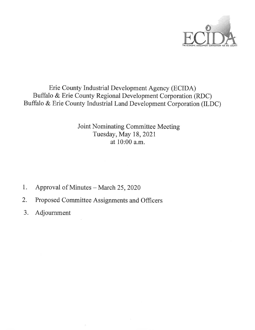

## Erie County Industrial Development Agency (ECIDA) Buffalo & Erie County Regional Development Corporation (RDC) Buffalo & Erie County Industrial Land Development Corporation (ILDC)

Joint Nominating Committee Meeting Tuesday, May 18, 2021 at 10:00 a.m.

- Approval of Minutes March 25, 2020  $1.$
- $2.$ Proposed Committee Assignments and Officers
- 3. Adjournment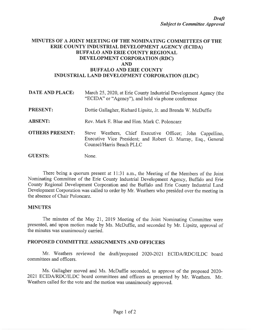#### MINUTES OF A JOINT MEETING OF THE NOMINATING COMMITTEES OF THE ERIE COUNTY INDUSTRIAL DEVELOPMENT AGENCY (ECIDA) **BUFFALO AND ERIE COUNTY REGIONAL** DEVELOPMENT CORPORATION (RDC) **AND BUFFALO AND ERIE COUNTY** INDUSTRIAL LAND DEVELOPMENT CORPORATION (ILDC)

| <b>DATE AND PLACE:</b> | March 25, 2020, at Erie County Industrial Development Agency (the<br>"ECIDA" or "Agency"), and held via phone conference                                |  |  |
|------------------------|---------------------------------------------------------------------------------------------------------------------------------------------------------|--|--|
| <b>PRESENT:</b>        | Dottie Gallagher, Richard Lipsitz, Jr. and Brenda W. McDuffie                                                                                           |  |  |
| <b>ABSENT:</b>         | Rev. Mark E. Blue and Hon. Mark C. Poloncarz                                                                                                            |  |  |
| <b>OTHERS PRESENT:</b> | Steve Weathers, Chief Executive Officer; John Cappellino,<br>Executive Vice President; and Robert G. Murray, Esq., General<br>Counsel/Harris Beach PLLC |  |  |
| <b>GUESTS:</b>         | None.                                                                                                                                                   |  |  |

There being a quorum present at 11:31 a.m., the Meeting of the Members of the Joint Nominating Committee of the Erie County Industrial Development Agency, Buffalo and Erie County Regional Development Corporation and the Buffalo and Erie County Industrial Land Development Corporation was called to order by Mr. Weathers who presided over the meeting in the absence of Chair Poloncarz.

#### **MINUTES**

The minutes of the May 21, 2019 Meeting of the Joint Nominating Committee were presented, and upon motion made by Ms. McDuffie, and seconded by Mr. Lipsitz, approval of the minutes was unanimously carried.

### PROPOSED COMMITTEE ASSIGNMENTS AND OFFICERS

Mr. Weathers reviewed the draft/proposed 2020-2021 ECIDA/RDC/ILDC board committees and officers.

Ms. Gallagher moved and Ms. McDuffie seconded, to approve of the proposed 2020-2021 ECIDA/RDC/ILDC board committees and officers as presented by Mr. Weathers. Mr. Weathers called for the vote and the motion was unanimously approved.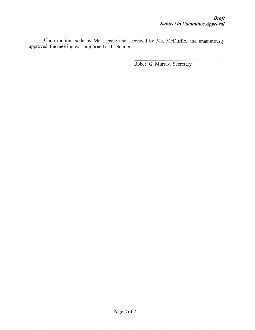Upon motion made by Mr. Lipsitz and seconded by Ms. McDuffie, and unanimously approved, the meeting was adjourned at 11:36 a.m.

Robert G. Murray, Secretary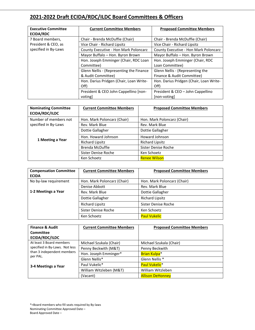## **2021-2022 Draft ECIDA/RDC/ILDC Board Committees & Officers**

| <b>Executive Committee</b><br>ECIDA/RDC | <b>Current Committee Members</b>         | <b>Proposed Committee Members</b>       |
|-----------------------------------------|------------------------------------------|-----------------------------------------|
| 7 Board members,                        | Chair - Brenda McDuffie (Chair)          | Chair - Brenda McDuffie (Chair)         |
| President & CEO, as                     | Vice Chair - Richard Lipsitz             | Vice Chair - Richard Lipsitz            |
| specified in By-Laws                    | County Executive - Hon Mark Poloncarz    | County Executive - Hon Mark Poloncarz   |
|                                         | Mayor Buffalo - Hon. Byron Brown         | Mayor Buffalo - Hon. Byron Brown        |
|                                         | Hon. Joseph Emminger (Chair, RDC Loan    | Hon. Joseph Emminger (Chair, RDC        |
|                                         | Committee)                               | Loan Committee)                         |
|                                         | Glenn Nellis - (Representing the Finance | Glenn Nellis - (Representing the        |
|                                         | & Audit Committee)                       | Finance & Audit Committee)              |
|                                         | Hon. Darius Pridgen (Chair, Loan Write-  | Hon. Darius Pridgen (Chair, Loan Write- |
|                                         | Off)                                     | Off)                                    |
|                                         | President & CEO John Cappellino [non-    | President & CEO - John Cappellino       |
|                                         | voting                                   | [non-voting]                            |

| <b>Nominating Committee</b><br>ECIDA/RDC/ILDC | <b>Current Committee Members</b> | <b>Proposed Committee Members</b> |  |  |
|-----------------------------------------------|----------------------------------|-----------------------------------|--|--|
| Number of members not                         | Hon. Mark Poloncarz (Chair)      | Hon. Mark Poloncarz (Chair)       |  |  |
| specified in By-Laws                          | Rev. Mark Blue                   | Rev. Mark Blue                    |  |  |
| 1 Meeting a Year                              | Dottie Gallagher                 | Dottie Gallagher                  |  |  |
|                                               | Hon. Howard Johnson              | Howard Johnson                    |  |  |
|                                               | <b>Richard Lipsitz</b>           | <b>Richard Lipsitz</b>            |  |  |
|                                               | <b>Brenda McDuffie</b>           | Sister Denise Roche               |  |  |
|                                               | Sister Denise Roche              | Ken Schoetz                       |  |  |
|                                               | Ken Schoetz                      | <b>Renee Wilson</b>               |  |  |

| <b>Compensation Committee</b> | <b>Current Committee Members</b> | <b>Proposed Committee Members</b> |
|-------------------------------|----------------------------------|-----------------------------------|
| <b>ECIDA</b>                  |                                  |                                   |
| No by-law requirement         | Hon. Mark Poloncarz (Chair)      | Hon. Mark Poloncarz (Chair)       |
|                               | Denise Abbott                    | Rev. Mark Blue                    |
| 1-2 Meetings a Year           | Rev. Mark Blue                   | Dottie Gallagher                  |
|                               | Dottie Gallagher                 | <b>Richard Lipsitz</b>            |
|                               | <b>Richard Lipsitz</b>           | Sister Denise Roche               |
|                               | Sister Denise Roche              | Ken Schoetz                       |
|                               | Ken Schoetz                      | <b>Paul Vukelic</b>               |

| <b>Finance &amp; Audit</b>                                                                      | <b>Current Committee Members</b> | <b>Proposed Committee Members</b> |  |  |
|-------------------------------------------------------------------------------------------------|----------------------------------|-----------------------------------|--|--|
| Committee                                                                                       |                                  |                                   |  |  |
| ECIDA/RDC/ILDC                                                                                  |                                  |                                   |  |  |
| At least 3 Board members                                                                        | Michael Szukala (Chair)          | Michael Szukala (Chair)           |  |  |
| specified in By-Laws. Not less<br>than 3 independent members<br>per PAL.<br>3-4 Meetings a Year | Penny Beckwith (M&T)             | Penny Beckwith                    |  |  |
|                                                                                                 | Hon. Joseph Emminger*            | Brian Kulpa <sup>*</sup>          |  |  |
|                                                                                                 | Glenn Nellis*                    | Glenn Nellis <sup>*</sup>         |  |  |
|                                                                                                 | Paul Vukelic*                    | Paul Vukelic <sup>*</sup>         |  |  |
|                                                                                                 | William Witzleben (M&T)          | William Witzleben                 |  |  |
|                                                                                                 | (Vacant)                         | <b>Allison DeHonney</b>           |  |  |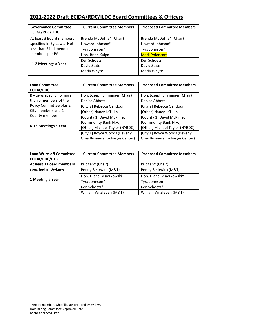# **2021-2022 Draft ECIDA/RDC/ILDC Board Committees & Officers**

| <b>Governance Committee</b><br>ECIDA/RDC/ILDC | <b>Current Committee Members</b> | <b>Proposed Committee Members</b> |  |  |
|-----------------------------------------------|----------------------------------|-----------------------------------|--|--|
|                                               |                                  |                                   |  |  |
| At least 3 Board members                      | Brenda McDuffie* (Chair)         | Brenda McDuffie* (Chair)          |  |  |
| specified in By-Laws. Not                     | Howard Johnson*                  | Howard Johnson*                   |  |  |
| less than 3 independent                       | Tyra Johnson*                    | Tyra Johnson*                     |  |  |
| members per PAL.                              | Hon. Brian Kulpa                 | <b>Mark Poloncarz</b>             |  |  |
|                                               | Ken Schoetz                      | Ken Schoetz                       |  |  |
| 1-2 Meetings a Year                           | David State                      | David State                       |  |  |
|                                               | Maria Whyte                      | Maria Whyte                       |  |  |
|                                               |                                  |                                   |  |  |

| <b>Loan Committee</b>   | <b>Current Committee Members</b> | <b>Proposed Committee Members</b> |  |  |
|-------------------------|----------------------------------|-----------------------------------|--|--|
| <b>ECIDA/RDC</b>        |                                  |                                   |  |  |
| By-Laws specify no more | Hon. Joseph Emminger (Chair)     | Hon. Joseph Emminger (Chair)      |  |  |
| than 5 members of the   | Denise Abbott                    | Denise Abbott                     |  |  |
| Policy Committee plus 2 | [City 2] Rebecca Gandour         | [City 2] Rebecca Gandour          |  |  |
| City members and 1      | [Other] Nancy LaTulip            | [Other] Nancy LaTulip             |  |  |
| County member           | [County 1] David McKinley        | [County 1] David McKinley         |  |  |
|                         | (Community Bank N.A.)            | (Community Bank N.A.)             |  |  |
| 6-12 Meetings a Year    | [Other] Michael Taylor (NYBDC)   | [Other] Michael Taylor (NYBDC)    |  |  |
|                         | [City 1] Royce Woods (Beverly    | [City 1] Royce Woods (Beverly     |  |  |
|                         | Gray Business Exchange Center)   | Gray Business Exchange Center)    |  |  |

| <b>Loan Write-off Committee</b><br>ECIDA/RDC/ILDC | <b>Current Committee Members</b> | <b>Proposed Committee Members</b> |  |
|---------------------------------------------------|----------------------------------|-----------------------------------|--|
| At least 3 Board members                          | Pridgen* (Chair)                 | Pridgen* (Chair)                  |  |
| specified in By-Laws                              | Penny Beckwith (M&T)             | Penny Beckwith (M&T)              |  |
|                                                   | Hon. Diane Benczkowski           | Hon. Diane Benczkowski*           |  |
| 1 Meeting a Year                                  | Tyra Johnson*                    | Tyra Johnson                      |  |
|                                                   | Ken Schoetz*                     | Ken Schoetz*                      |  |
|                                                   | William Witzleben (M&T)          | William Witzleben (M&T)           |  |